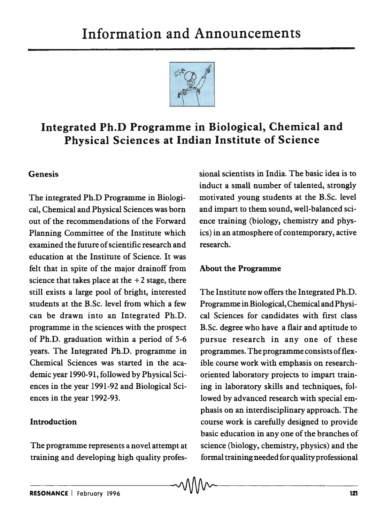

# Integrated Ph.D Programme in Biological, Chemical and Physical Sciences at Indian Institute of Science

### Genesis

The integrated Ph.D Programme in Biological, Chemical and Physical Sciences was born out of the recommendations of the Forward Planning Committee of the Institute which examined the future of scientific research and education at the Institute of Science. It was felt that in spite of the major drainoff from science that takes place at the  $+2$  stage, there still exists a large pool of bright, interested students at the B.Sc. level from which a few can be drawn into an Integrated Ph.D. programme in the sciences with the prospect of Ph.D. graduation within a period of 5-6 years. The Integrated Ph.D. programme in Chemical Sciences was started in the academic year 1990-91, followed by Physical Sciences in the year 1991-92 and Biological Sciences in the year 1992-93.

#### Introduction

The programme represents a novel attempt at training and developing high quality professional scientists in India. The basic idea is to induct a small number of talented, strongly motivated young students at the B.Sc. level and impart to them sound, well-balanced science training (biology, chemistry and physics) in an atmosphere of contemporary, active research.

#### About the Programme

The Institute now offers the Integrated Ph.D. Programme in Biological, Chemical and Physical Sciences for candidates with first class B.Sc. degree who have a flair and aptitude to pursue research in anyone of these programmes. The programme consists of flexible course work with emphasis on researchoriented laboratory projects to impart training in laboratory skills and techniques, followed by advanced research with special emphasis on an interdisciplinary approach. The course work is carefully designed to provide basic education in anyone of the branches of science (biology, chemistry, physics) and the formal training needed for quality professional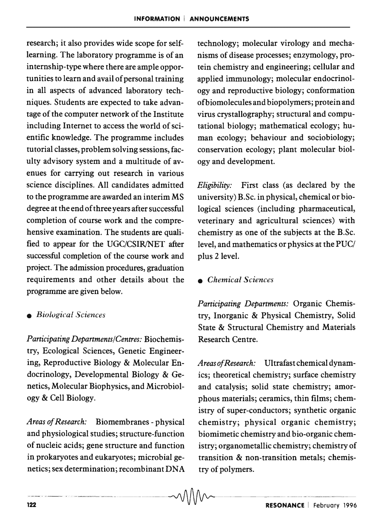research; it also provides wide scope for selflearning. The laboratory programme is of an internship-type where there are ample opportunities to learn and avail of personal training in all aspects of advanced laboratory techniques. Students are expected to take advantage of the computer network of the Institute including Internet to access the world of scientific knowledge. The programme includes tutorial classes, problem solving sessions, faculty advisory system and a multitude of avenues for carrying out research in various science disciplines. All candidates admitted to the programme are awarded an interim MS degree at the end of three years after successful completion of course work and the comprehensive examination. The students are qualified to appear for the UGC/CSIR/NET after successful completion of the course work and project. The admission procedures, graduation requirements and other details about the programme are given below.

*Participating Departments/Centres:* Biochemis- Research Centre. try, Ecological Sciences, Genetic Engineering, Reproductive Biology & Molecular En- *Areas of Research:* Ultrafastchemicaldynamdocrinology, Developmental Biology & Ge- ics; theoretical chemistry; surface chemistry netics, Molecular Biophysics, and Microbiol- and catalysis; solid state chemistry; amorogy & Cell Biology. phous materials; ceramics, thin films; chem-

*Areas of Research:* Biomembranes - physical and physiological studies; structure-function of nucleic acids; gene structure and function in prokaryotes and eukaryotes; microbial genetics; sex determination; recombinant DNA  $\sim$ 

technology; molecular virology and mechanisms of disease processes; enzymology, protein chemistry and engineering; cellular and applied immunology; molecular endocrinology and reproductive biology; conformation ofbiomolecules and biopolymers; protein and virus crystallography; structural and computational biology; mathematical ecology; human ecology; behaviour and sociobiology; conservation ecology; plant molecular biology and development.

*Eligibility:* First class (as declared by the university) B.Sc. in physical, chemical or biological sciences (including pharmaceutical, veterinary and agricultural sciences) with chemistry as one of the subjects at the B.Sc. level, and mathematics or physics at the PUC/ plus 2 level.

*• Chemical Sciences* 

*Participating Departments:* Organic Chemis- *• Biological Sciences* try, Inorganic & Physical Chemistry, Solid State & Structural Chemistry and Materials

> istry of super-conductors; synthetic organic chemistry; physical organic chemistry; biomimetic chemistry and bio-organic chemistry; organometallic chemistry; chemistry of transition & non-transition metals; chemistry of polymers.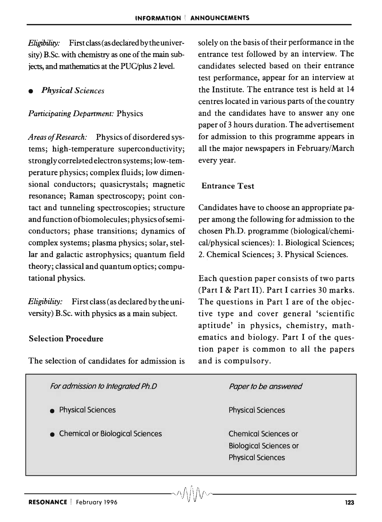*Eligibility:* First class (as declared by the university) B.Sc. with chemistry as one of the main subjects, and mathematics at the PUC/plus 2 level.

*• Physical Sciences* 

#### *Participating Department:* Physics

*Areas of Research:* Physics of disordered systems; high-temperature superconductivity; strongly correlated electron systems; low-temperature physics; complex fluids; low dimensional conductors; quasicrystals; magnetic resonance; Raman spectroscopy; point contact and tunneling spectroscopies; structure and function ofbiomolecules; physics of semiconductors; phase transitions; dynamics of complex systems; plasma physics; solar, stellar and galactic astrophysics; quantum field theory; classical and quantum optics; computational physics.

*Eligibility:* First class (as declared by the university) B.Sc. with physics as a main subject.

#### Selection Procedure

The selection of candidates for admission is

solely on the basis of their performance in the entrance test followed by an interview. The candidates selected based on their entrance test performance, appear for an interview at the Institute. The entrance test is held at 14 centres located in various parts of the country and the candidates have to answer anyone paper of 3 hours duration. The advertisement for admission to this programme appears in all the major newspapers in February/March every year.

#### Entrance Test

Candidates have to choose an appropriate paper among the following for admission to the chosen Ph.D. programme (biological/chemical/physical sciences): 1. Biological Sciences; 2. Chemical Sciences; 3. Physical Sciences.

Each question paper consists of two parts (Part I & Part II). Part I carries 30 marks. The questions in Part I are of the objective type and cover general 'scientific aptitude' in physics, chemistry, mathematics and biology. Part I of the question paper is common to all the papers and is compulsory.

| For admission to Integrated Ph.D      | Paper to be answered                                                                     |
|---------------------------------------|------------------------------------------------------------------------------------------|
| <b>Physical Sciences</b><br>$\bullet$ | <b>Physical Sciences</b>                                                                 |
| • Chemical or Biological Sciences     | <b>Chemical Sciences or</b><br><b>Biological Sciences or</b><br><b>Physical Sciences</b> |
|                                       |                                                                                          |

 $\sim$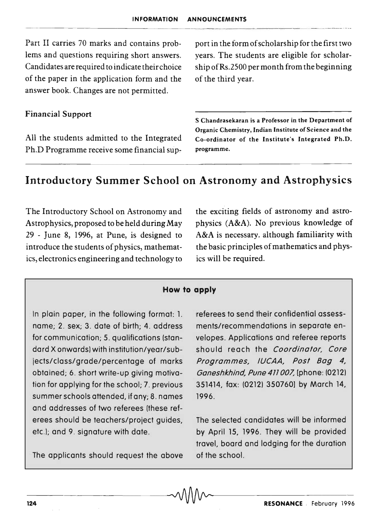Part II carries 70 marks and contains problems and questions requiring short answers. Candidates are required to indicate their choice of the paper in the application form and the answer book. Changes are not permitted.

port in the form of scholarship for the first two years. The students are eligible for scholarship ofRs.2S00 per month from the beginning of the third year.

#### Financial Support

All the students admitted to the Integrated Ph.D Programme receive some financial sup:-

S Chandrasekaran is a Professor in the Department of Organic Chemistry, Indian Institute of Science and the Co-ordinator of the Institute's Integrated Ph.D. programme.

## **Introductory Summer School on Astronomy and Astrophysics**

The Introductory School on Astronomy and Astrophysics, proposed to be held during May 29 - June 8, 1996, at Pune, is designed to introduce the students of physics, mathematics, electronics engineering and technology to the exciting fields of astronomy and astrophysics (A&A). No previous knowledge of A&A is necessary. although familiarity with the basic principles of mathematics and physics will be required.

#### **How to apply**

In plain paper, in the following format: 1. name; 2. sex; 3. date of birth; 4. address for communication; 5. qualifications (standard X onwards) with institution/year/subjects/class/grade/percentage of marks obtained; 6. short write-up giving motivation for applying for the school; 7. previous summer schools attended, if any; 8. names and addresses of two referees (these referees should be teachers/project guides, etc.!; and 9. signature with date.

The applicants should request the above

referees to send their confidential assessments/recommendations in separate envelopes. Applications and referee reports should reach the Coordinator, Core Programmes, IUCAA, Post Bag 4, Ganeshkhind, Pune411007, [phone: (0212) 351414, fax: (0212) 350760] by March 14, 1996.

The selected candidates will be informed by April 15, 1996. They will be provided travel, board and lodging for the duration of the school.